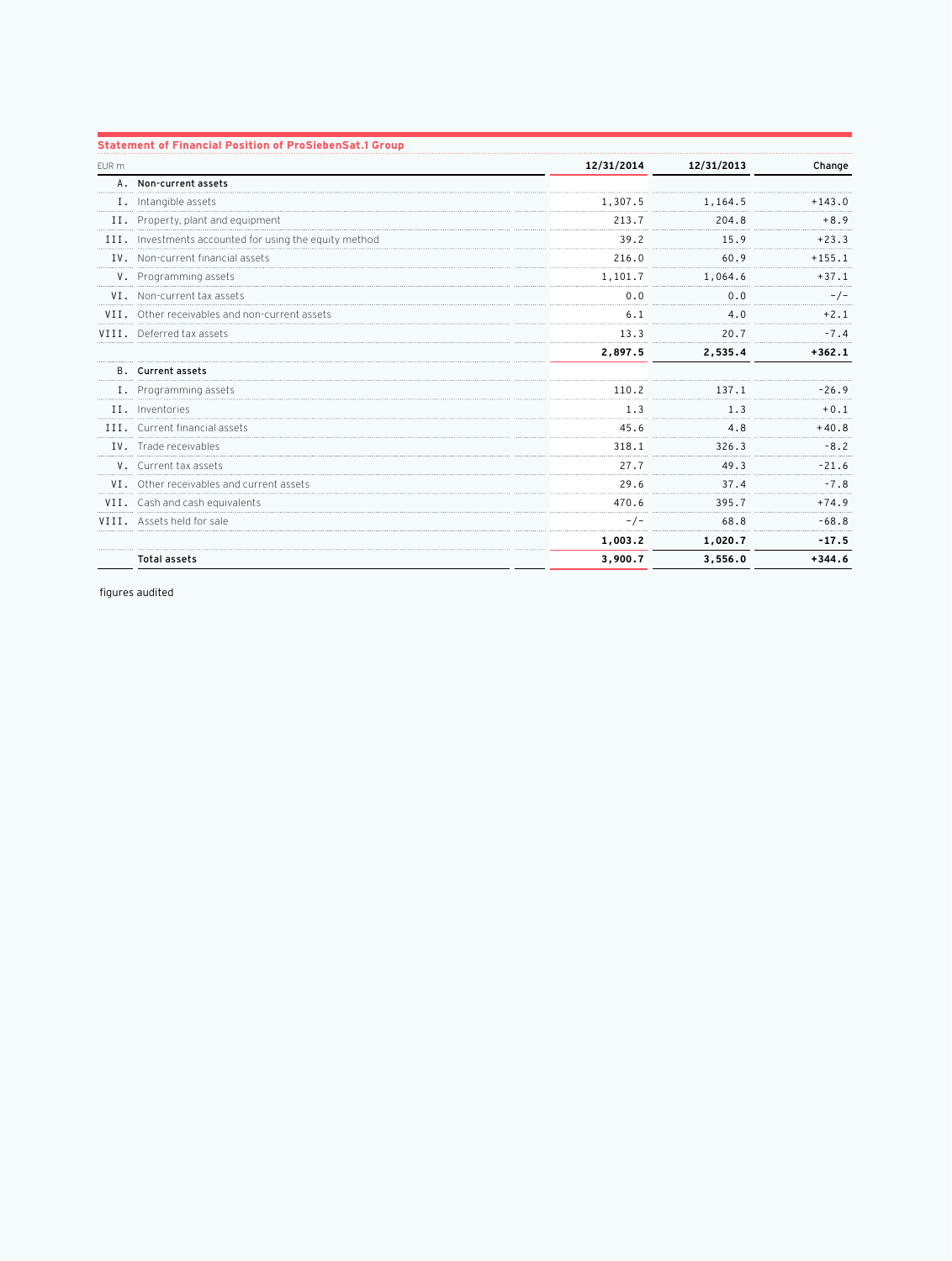|       | <b>Statement of Financial Position of ProSiebenSat.1 Group</b> |            |            |          |
|-------|----------------------------------------------------------------|------------|------------|----------|
| EUR m |                                                                | 12/31/2014 | 12/31/2013 | Change   |
|       | A. Non-current assets                                          |            |            |          |
|       | I. Intangible assets                                           | 1,307.5    | 1,164.5    | $+143.0$ |
|       | II. Property, plant and equipment                              | 213.7      | 204.8      | $+8.9$   |
|       | III. Investments accounted for using the equity method         | 39.2       | 15.9       | $+23.3$  |
|       | IV. Non-current financial assets                               | 216.0      | 60.9       | $+155.1$ |
|       | V. Programming assets                                          | 1,101.7    | 1,064.6    | $+37.1$  |
|       | VI. Non-current tax assets                                     | 0.0        | 0.0        | $-/-$    |
|       | VII. Other receivables and non-current assets                  | 6.1        | 4.0        | $+2.1$   |
|       | VIII. Deferred tax assets                                      | 13.3       | 20.7       | $-7.4$   |
|       |                                                                | 2,897.5    | 2,535.4    | $+362.1$ |
|       | <b>B.</b> Current assets                                       |            |            |          |
|       | I. Programming assets                                          | 110.2      | 137.1      | $-26.9$  |
|       | II. Inventories                                                | 1.3        | 1.3        | $+0.1$   |
|       | III. Current financial assets                                  | 45.6       | 4.8        | $+40.8$  |
|       | IV. Trade receivables                                          | 318.1      | 326.3      | $-8.2$   |
|       | V. Current tax assets                                          | 27.7       | 49.3       | $-21.6$  |
|       | VI. Other receivables and current assets                       | 29.6       | 37.4       | $-7.8$   |
|       | VII. Cash and cash equivalents                                 | 470.6      | 395.7      | $+74.9$  |
|       | VIII. Assets held for sale                                     | $-/-$      | 68.8       | $-68.8$  |
|       |                                                                | 1,003.2    | 1,020.7    | $-17.5$  |
|       | <b>Total assets</b>                                            | 3,900.7    | 3.556.0    | $+344.6$ |

figures audited